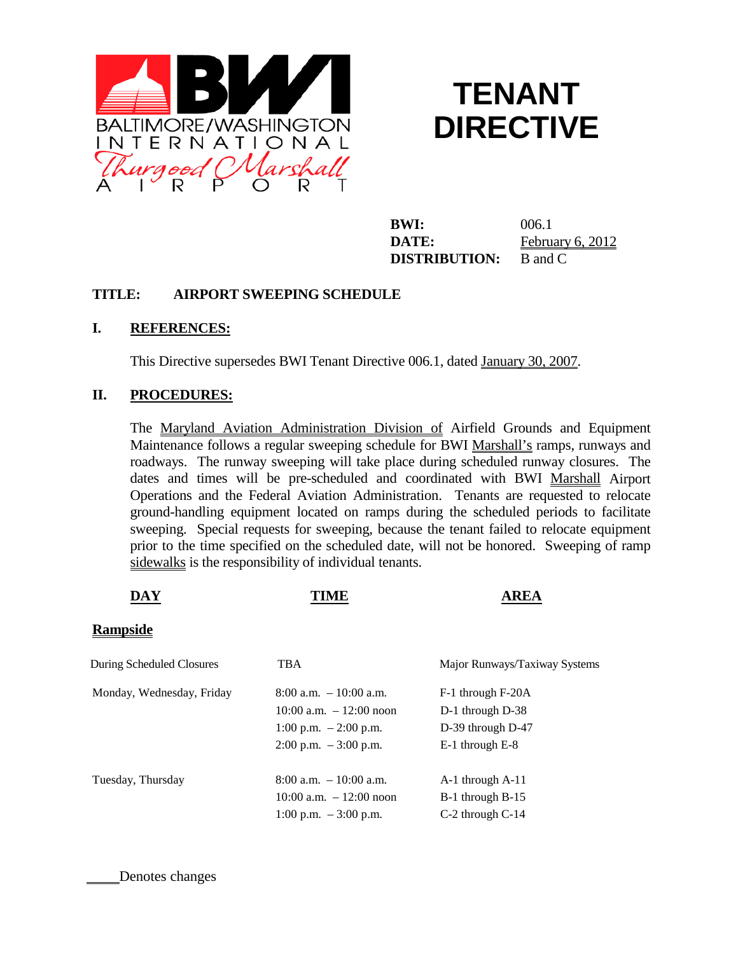

## **TENANT DIRECTIVE**

**BWI:** 006.1 **DATE:** February 6, 2012 **DISTRIBUTION:** B and C

## **TITLE: AIRPORT SWEEPING SCHEDULE**

## **I. REFERENCES:**

This Directive supersedes BWI Tenant Directive 006.1, dated January 30, 2007.

## **II. PROCEDURES:**

The Maryland Aviation Administration Division of Airfield Grounds and Equipment Maintenance follows a regular sweeping schedule for BWI Marshall's ramps, runways and roadways. The runway sweeping will take place during scheduled runway closures. The dates and times will be pre-scheduled and coordinated with BWI Marshall Airport Operations and the Federal Aviation Administration. Tenants are requested to relocate ground-handling equipment located on ramps during the scheduled periods to facilitate sweeping. Special requests for sweeping, because the tenant failed to relocate equipment prior to the time specified on the scheduled date, will not be honored. Sweeping of ramp sidewalks is the responsibility of individual tenants.

| <b>DAY</b>                | <b>TIME</b>                             | <b>AREA</b>                   |
|---------------------------|-----------------------------------------|-------------------------------|
| <b>Rampside</b>           |                                         |                               |
| During Scheduled Closures | <b>TBA</b>                              | Major Runways/Taxiway Systems |
| Monday, Wednesday, Friday | $8:00$ a.m. $-10:00$ a.m.               | F-1 through F-20A             |
|                           | $10:00$ a.m. $-12:00$ noon              | D-1 through D-38              |
|                           | 1:00 p.m. $-2:00$ p.m.                  | D-39 through D-47             |
|                           | $2:00 \text{ p.m. } -3:00 \text{ p.m.}$ | E-1 through E-8               |
| Tuesday, Thursday         | $8:00$ a.m. $-10:00$ a.m.               | A-1 through A-11              |
|                           | $10:00$ a.m. $-12:00$ noon              | B-1 through B-15              |
|                           | 1:00 p.m. $-3:00$ p.m.                  | C-2 through C-14              |

Denotes changes